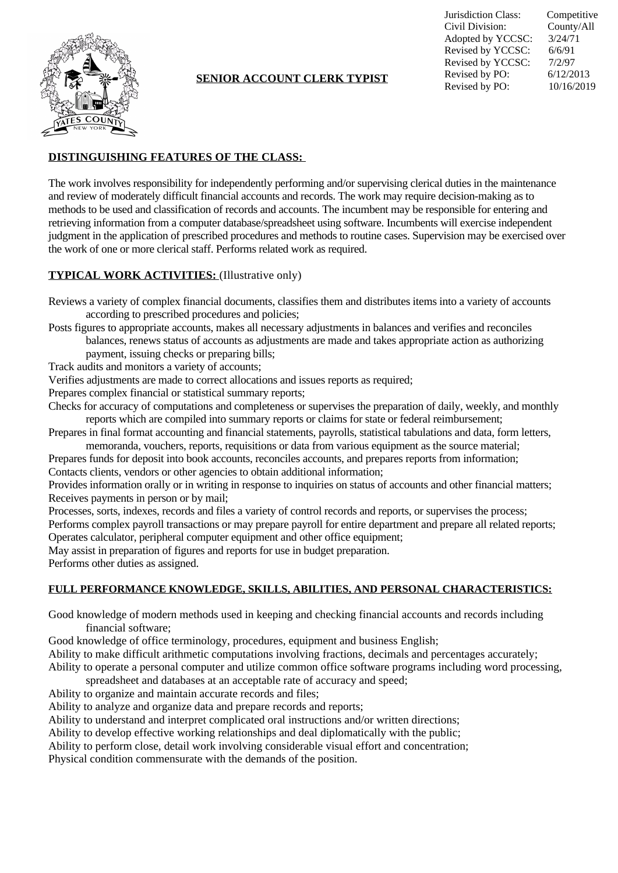

## **SENIOR ACCOUNT CLERK TYPIST**

Jurisdiction Class: Competitive Civil Division: County/All<br>Adopted by YCCSC:  $3/24/71$ Adopted by YCCSC: 3/24/7<br>Revised by YCCSC: 6/6/91 Revised by YCCSC: 6/6/91<br>Revised by YCCSC: 7/2/97 Revised by YCCSC: 7/2/97<br>Revised by PO: 6/12/2013 Revised by PO: Revised by PO: 10/16/2019

# **DISTINGUISHING FEATURES OF THE CLASS:**

The work involves responsibility for independently performing and/or supervising clerical duties in the maintenance and review of moderately difficult financial accounts and records. The work may require decision-making as to methods to be used and classification of records and accounts. The incumbent may be responsible for entering and retrieving information from a computer database/spreadsheet using software. Incumbents will exercise independent judgment in the application of prescribed procedures and methods to routine cases. Supervision may be exercised over the work of one or more clerical staff. Performs related work as required.

### **TYPICAL WORK ACTIVITIES:** (Illustrative only)

Reviews a variety of complex financial documents, classifies them and distributes items into a variety of accounts according to prescribed procedures and policies;

Posts figures to appropriate accounts, makes all necessary adjustments in balances and verifies and reconciles balances, renews status of accounts as adjustments are made and takes appropriate action as authorizing

- payment, issuing checks or preparing bills;
- Track audits and monitors a variety of accounts;

Verifies adjustments are made to correct allocations and issues reports as required;

Prepares complex financial or statistical summary reports;

Checks for accuracy of computations and completeness or supervises the preparation of daily, weekly, and monthly reports which are compiled into summary reports or claims for state or federal reimbursement;

Prepares in final format accounting and financial statements, payrolls, statistical tabulations and data, form letters, memoranda, vouchers, reports, requisitions or data from various equipment as the source material;

Prepares funds for deposit into book accounts, reconciles accounts, and prepares reports from information; Contacts clients, vendors or other agencies to obtain additional information;

Provides information orally or in writing in response to inquiries on status of accounts and other financial matters; Receives payments in person or by mail;

Processes, sorts, indexes, records and files a variety of control records and reports, or supervises the process;

Performs complex payroll transactions or may prepare payroll for entire department and prepare all related reports; Operates calculator, peripheral computer equipment and other office equipment;

May assist in preparation of figures and reports for use in budget preparation.

Performs other duties as assigned.

#### **FULL PERFORMANCE KNOWLEDGE, SKILLS, ABILITIES, AND PERSONAL CHARACTERISTICS:**

Good knowledge of modern methods used in keeping and checking financial accounts and records including financial software;

Good knowledge of office terminology, procedures, equipment and business English;

Ability to make difficult arithmetic computations involving fractions, decimals and percentages accurately;

Ability to operate a personal computer and utilize common office software programs including word processing,

spreadsheet and databases at an acceptable rate of accuracy and speed;

Ability to organize and maintain accurate records and files;

Ability to analyze and organize data and prepare records and reports;

Ability to understand and interpret complicated oral instructions and/or written directions;

Ability to develop effective working relationships and deal diplomatically with the public;

Ability to perform close, detail work involving considerable visual effort and concentration;

Physical condition commensurate with the demands of the position.